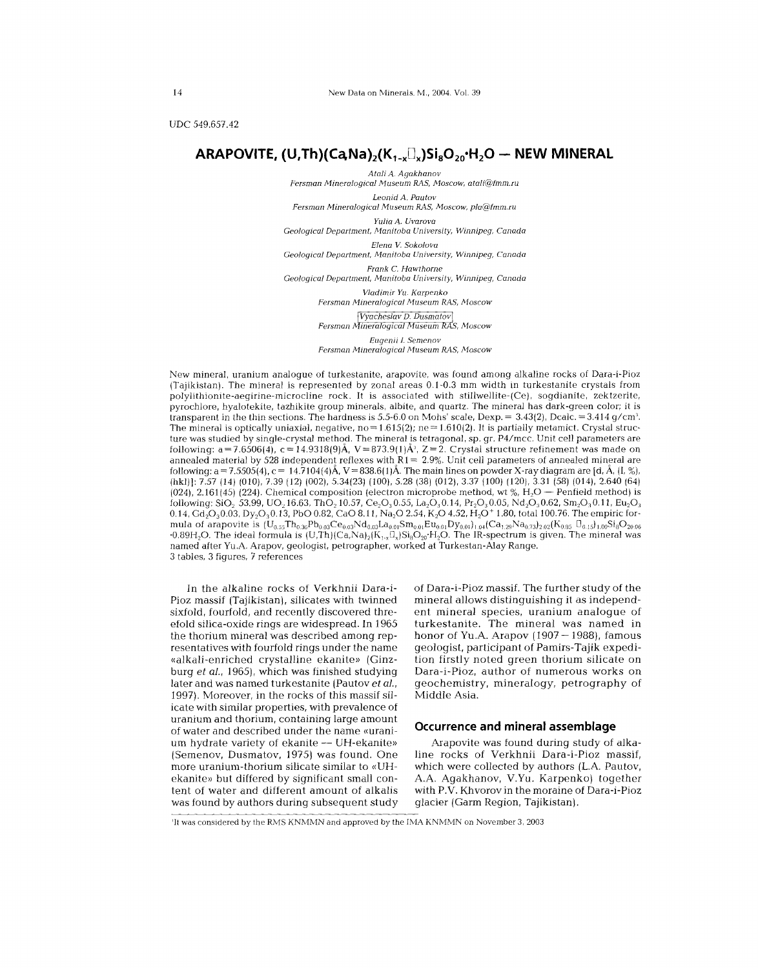UDC 549.657.42

# ARAPOVITE,  $(U, Th)(CaNa)_{2}(K_{1-x}\Box_{x})Si_{8}O_{20}H_{2}O - NEW MINERAL$

*AtaliA. Agakhanov Fersman Mineralogical Museum RAS, Moscow, atali@fmm.ru*

*Leonid A. Pautov Fersman Mineralogical Museum RAS, Moscow, pla@fmm.ru*

*Yulia A. Uvarova*

*Geological Department, Manitoba University, Winnipeg, Canada*

*Elena V Sokolova Geological Department, Manitoba University, Winnipeg, Canada*

*Frank* C. *Hawthorne*

*Geological Department, Manitoba University, Winnipeg, Canada*

*Vladimir Yu. Karpenko Fersman Mineralogical Museum RAS, Moscow*

Vyacheslav D. Dusmatov

*Fersman*

*Eugenii* 1. *Semenov*

*Fersman Mineralogical Museum RAS, Moscow*

New mineral, uranium analogue of turkestanite, arapovite, was found among alkaline rocks of Dara-i-Pioz (Tajikistan). The mineral is represented by zonal areas 0.1-0.3 mm width in turkestanite crystals from polylithionite-aegirine-microcline rock. It is associated with stillwellite-(Ce), sogdianite, zektzerite, pyrochlore, hyalotekite, tazhikite group minerals, albite, and quartz. The mineral has dark-green color; it is transparent in the thin sections. The hardness is  $5.5\text{-}6.0$  on Mohs' scale,  $\text{Dexp}=3.43(2)$ ,  $\text{Dcalc}=3.414$  g/cm The mineral is optically uniaxial, negative,  $no = 1.615(2)$ ; ne = 1.610(2). It is partially metamict. Crystal struc ture was studied by single-crystal method. The mineral is tetragonal, sp. gr. P4/mcc. Unit cell parameters are following:  $a = 7.6506(4)$ ,  $c = 14.9318(9)$ A,  $V = 873.9(1)$ A,  $Z = 2$ . Crystal structure refinement was made on annealed material by 528 independent reflexes with  $R1 = 2.9%$ . Unit cell parameters of annealed mineral are following: a = 7.5505(4), c = 14.7104(4)A,  $V$  = 838.6(1)A. The main lines on powder X-ray diagram are [d, A, [I, %], (hkl)]: 7.57 (14) (010),7.39 (12) (002), 5.34(23) (100),5.28 (38) (012),3.37 (100) (120), 3.31 (58) (014),2.640 (64) (024), 2.161 (45) (224). Chemical composition (electron microprobe method, wt %,  $H<sub>2</sub>O -$  Penfield method) is following: SiO<sub>2</sub> 53.99, UO<sub>2</sub>16.63, ThO<sub>2</sub>10.57, Ce<sub>2</sub>O<sub>3</sub>0.55, La<sub>2</sub>O<sub>3</sub>0.14, Pr<sub>2</sub>O<sub>3</sub>0.05, Nd<sub>2</sub>O<sub>3</sub>0.62, Sm<sub>2</sub>O<sub>3</sub>0.11, Eu<sub>2</sub>O<sub>3</sub> 0.14, Gd<sub>2</sub>O<sub>3</sub>0.03, Dy<sub>2</sub>O<sub>3</sub>0.13, PbO 0.82, CaO 8.11, Na<sub>2</sub>O 2.54, K<sub>2</sub>O 4.52, H<sub>2</sub>O<sup>+</sup> 1.80, total 100.76. The empiric formula of arapovite is  $(\mathrm{U_{0.55}Th_{0.36}Pb_{0.03}Ce_{0.03}Nd_{0.03}La_{0.01}Sn_{0.01}Bu_{0.01}Dy_{0.01})_{1.04}(Ca_{1.29}Na_{0.73})_{2.02}(K_{0.85} \ \mathbb{I}_{0.15})_{1.00}Si_8O_{20.06}$  $\cdot$ 0.89H<sub>2</sub>O. The ideal formula is (U,Th)(Ca,Na)<sub>2</sub>(K<sub>1-x</sub>U<sub>x</sub>)Si<sub>8</sub>O<sub>20</sub> H<sub>2</sub>O. The IR-spectrum is given. The mineral was named after YU.A. Arapov, geologist, petrographer, worked at Turkestan-Alay Range. 3 tables, 3 figures, 7 references

In the alkaline rocks of Verkhnii Dara-i-Pioz massif (Tajikistan), silicates with twinned sixfold, fourfold, and recently discovered threefold silica-oxide rings are widespread. In 1965 the thorium mineral was described among representatives with fourfold rings under the name «alkali-enriched crystalline ekanite» (Ginzburg *et aJ.,* 1965), which was finished studying later and was named turkestanite (Pautov *et aJ.,* 1997). Moreover, in the rocks of this massif silicate with similar properties, with prevalence of uranium and thorium, containing large amount of water and described under the name «uranium hydrate variety of ekanite -- UH-ekanite» (Semenov, Dusmatov, 1975) was found. One more uranium-thorium silicate similar to «UHekanite» but differed by significant small content of water and different amount of alkalis was found by authors during subsequent study

of Dara-i-Pioz massif. The further study of the mineral allows distinguishing it as independent mineral species, uranium analogue of turkestanite. The mineral was named in honor of Yu.A. Arapov  $(1907 - 1988)$ , famous geologist, participant of Pamirs- Tajik expedition firstly noted green thorium silicate on Dara-i-Pioz, author of numerous works on geochemistry, mineralogy, petrography of Middle Asia.

## **Occurrence and mineral assemblage**

Arapovite was found during study of alkaline rocks of Verkhnii Dara-i-Pioz massif, which were collected by authors (L.A. Pautov, AA Agakhanov, V.Yu. Karpenko) together with P.V. Khvorov in the moraine of Dara-i-Pioz glacier (Garm Region, Tajikistan).

'It was considered by the RMS KNMMN and approved by the IMA KNMMN on November 3, 2003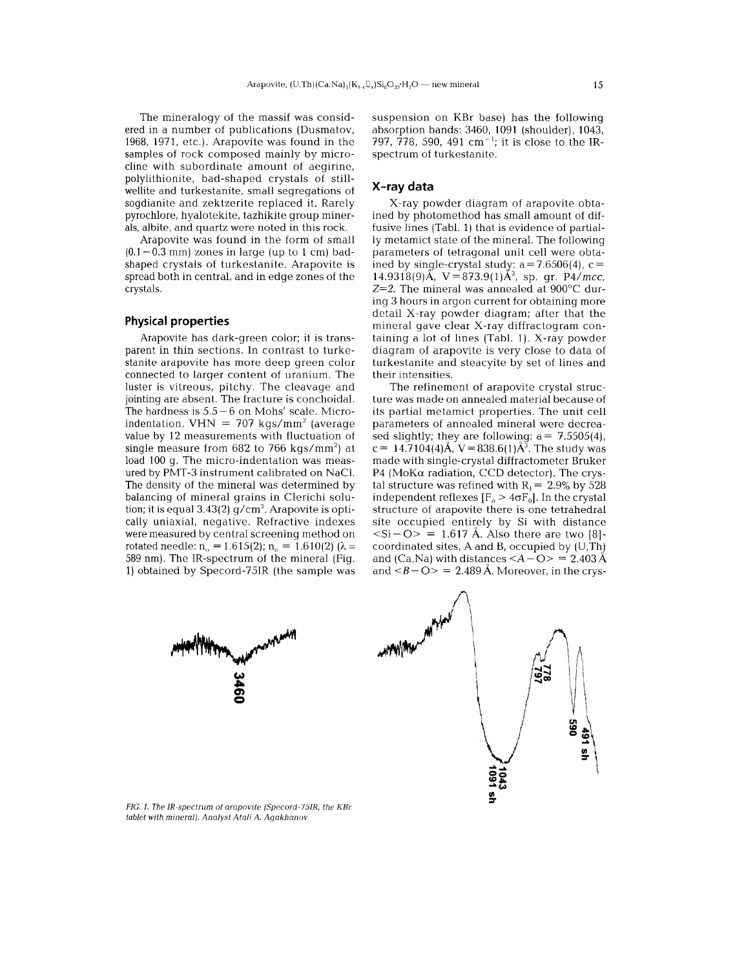The mineralogy of the massif was considered in a number of publications (Dusmatov, 1968, 1971, etc.). Arapovite was found in the samples of rock composed mainly by microcline with subordinate amount of aegirine, polylithionite, bad-shaped crystals of stillwellite and turkestanite, small segregations of sogdianite and zektzerite replaced it. Rarely pyrochlore, hyalotekite, tazhikite group minerals, albite, and quartz were noted in this rock.

Arapovite was found in the form of small  $(0.1-0.3 \text{ mm})$  zones in large (up to 1 cm) badshaped crystals of turkestanite. Arapovite is spread both in central. and in edge zones of the crystals.

#### **Physical properties**

Arapovite has dark-green color; it is transparent in thin sections. In contrast to turkestanite arapovite has more deep green color connected to larger content of uranium. The luster is vitreous, pitchy. The cleavage and jointing are absent. The fracture is conchoidal. The hardness is  $5.5 - 6$  on Mohs' scale. Microindentation, VHN =  $707 \text{ kgs/mm}^2$  (average value by 12 measurements with fluctuation of single measure from  $682$  to 766 kgs/mm<sup>2</sup>) at load 100 g. The micro-indentation was measured by PMT-3 instrument calibrated on NaCI. The density of the mineral was determined by balancing of mineral grains in Clerichi solution; it is equal  $3.43(2)$  g/cm<sup>3</sup>. Arapovite is optically uniaxial, negative. Refractive indexes were measured by central screening method on rotated needle:  $n_0 = 1.615(2)$ ;  $n_0 = 1.610(2)$  ( $\lambda =$ 589 nm). The IR-spectrum of the mineral (Fig. 1) obtained by Specord-75IR (the sample was suspension on KBr base) has the following absorption bands: 3460, 1091 (shoulder). 1043, 797, 778, 590, 491 cm<sup>-1</sup>; it is close to the IRspectrum of turkestanite.

## **X-ray data**

X-ray powder diagram of arapovite obtained by photomethod has small amount of diffusive lines (Tabl. 1) that is evidence of partially metamict state of the mineral. The following parameters of tetragonal unit cell were obtained by single-crystal study:  $a=7.6506(4)$ , c=  $14.9318(9)$ Å, V=873.9(1)Å<sup>3</sup>, sp. gr. P4/mcc, *Z=2.* The mineral was annealed at 900°C during 3 hours in argon current for obtaining more detail X-ray powder diagram; after that the mineral gave clear X-ray diffractogram containing a lot of lines (Tabl. 1). X-ray powder diagram of arapovite is very close to data of turkestanite and steacyite by set of lines and their intensities.

The refinement of arapovite crystal structure was made on annealed material because of its partial metamict properties. The unit cell parameters of annealed mineral were decreased slightly; they are following:  $a = 7.5505(4)$ . c = 14.7104(4) $\AA$ , V = 838.6(1) $\AA$ <sup>3</sup>. The study was made with single-crystal diffractometer Bruker P4 (MoK $\alpha$  radiation, CCD detector). The crystal structure was refined with  $R_1 = 2.9\%$  by 528 independent reflexes  $[F_0 > 4\sigma F_0]$ . In the crystal structure of arapovite there is one tetrahedral site occupied entirely by Si with distance  $\langle$ Si – O> = 1.617 Å. Also there are two [8]coordinated sites, A and B, occupied by (U,Th) and (Ca,Na) with distances  $\langle A - \mathbf{O} \rangle = 2.403 \, \text{\AA}$ and  $\langle B - \mathbf{O} \rangle = 2.489 \,\text{\AA}$ . Moreover, in the crys-





*FIG. I. The lR-spectrum* of *arapovite (Specord-75IR, the* KBf *tablet with mineral). Analyst A tali A. Agakhanov*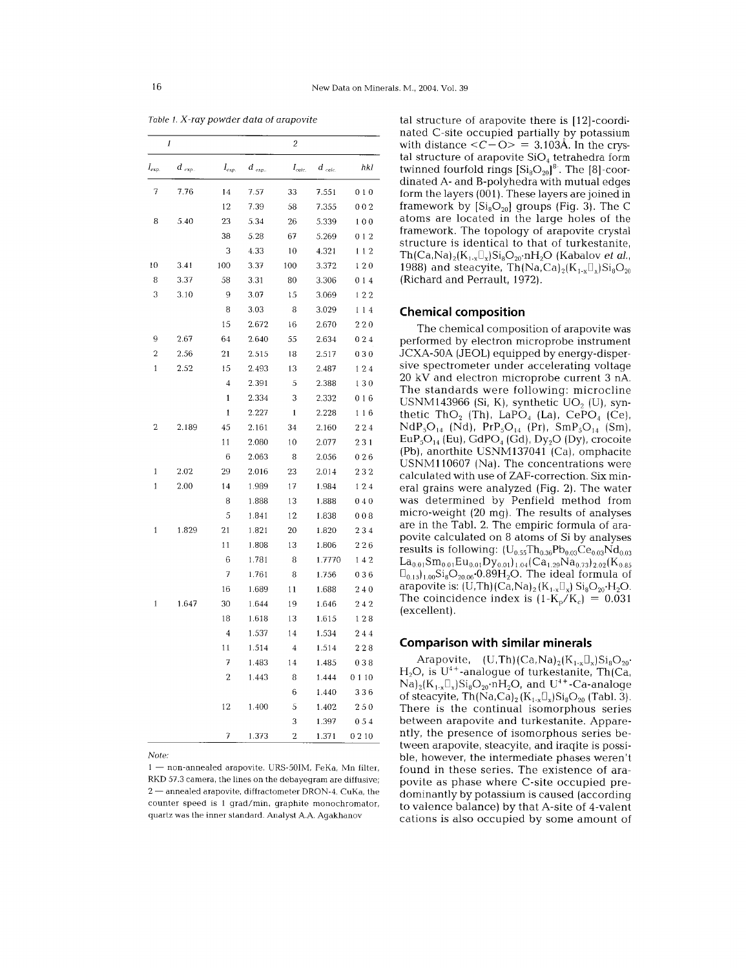*Table* 1. *X-ray powder data* of *arapovite*

|                | 1          |              |            | 2              |          |      |
|----------------|------------|--------------|------------|----------------|----------|------|
| $I_{exp.}$     | $d_{\exp}$ | $I_{exp.}$   | $d_{exp.}$ | $I_{calc.}$    | $d$ calc | hkl  |
| 7              | 7.76       | 14           | 7.57       | 33             | 7.551    | 010  |
|                |            | 12           | 7.39       | 58             | 7.355    | 002  |
| 8              | 5.40       | 23           | 5.34       | 26             | 5.339    | 100  |
|                |            | 38           | 5.28       | 67             | 5.269    | 012  |
|                |            | 3            | 4.33       | 10             | 4.321    | 112  |
| 10             | 3.41       | 100          | 3.37       | 100            | 3.372    | 120  |
| 8              | 3.37       | 58           | 3.31       | 80             | 3.306    | 014  |
| 3              | 3.10       | 9            | 3.07       | 15             | 3.069    | 122  |
|                |            | 8            | 3.03       | 8              | 3.029    | 114  |
|                |            | 15           | 2.672      | 16             | 2.670    | 220  |
| 9              | 2.67       | 64           | 2.640      | 55             | 2.634    | 024  |
| $\overline{c}$ | 2.56       | 21           | 2.515      | 18             | 2.517    | 030  |
| 1              | 2.52       | 15           | 2.493      | 13             | 2.487    | 124  |
|                |            | 4            | 2.391      | 5              | 2.388    | 130  |
|                |            | $\mathbf{1}$ | 2.334      | 3              | 2.332    | 016  |
|                |            | $\mathbf{1}$ | 2.227      | $\mathbf{1}$   | 2.228    | 116  |
| 2              | 2.189      | 45           | 2.161      | 34             | 2.160    | 224  |
|                |            | 11           | 2.080      | 10             | 2.077    | 231  |
|                |            | 6            | 2.063      | 8              | 2.056    | 026  |
| 1              | 2.02       | 29           | 2.016      | 23             | 2.014    | 232  |
| 1              | 2.00       | 14           | 1.989      | 17             | 1.984    | 124  |
|                |            | 8            | 1.888      | 13             | 1.888    | 040  |
|                |            | 5            | 1.841      | 12             | 1.838    | 008  |
| 1              | 1.829      | 21           | 1.821      | 20             | 1.820    | 234  |
|                |            | 11           | 1.808      | 13             | 1.806    | 226  |
|                |            | 6            | 1.781      | 8              | 1.7770   | 142  |
|                |            | 7            | 1.761      | 8              | 1.756    | 036  |
|                |            | 16           | 1.689      | 11             | 1.688    | 240  |
| $\mathbf{1}$   | 1.647      | 30           | 1.644      | 19             | 1.646    | 242  |
|                |            | 18           | 1.618      | 13             | 1.615    | 128  |
|                |            | 4            | 1.537      | 14             | 1.534    | 244  |
|                |            | 11           | 1.514      | 4              | 1.514    | 228  |
|                |            | 7            | 1.483      | 14             | 1.485    | 038  |
|                |            | 2            | 1.443      | 8              | 1.444    | 0110 |
|                |            |              |            | 6              | 1.440    | 336  |
|                |            | 12           | 1.400      | 5              | 1.402    | 250  |
|                |            |              |            | 3              | 1.397    | 054  |
|                |            | 7            | 1.373      | $\overline{c}$ | 1.371    | 0210 |

*Note:*

1 — non-annealed arapovite. URS-50IM, FeKa, Mn filter RKD 57.3 camera, the lines on the debayegram are diffusive; 2 - annealed arapovite, diffractometer DRON-4, CuKa, the counter speed is 1 grad/min, graphite monochromator, quartz was the inner standard. Analyst A.A. Agakhanov

tal structure of arapovite there is [12]-coordinated C-site occupied partially by potassium with distance  $\langle C - \overline{O} \rangle = 3.103$ Å. In the crystal structure of arapovite  $SiO<sub>4</sub>$  tetrahedra form twinned fourfold rings  $\left[Si_8O_{20}\right]^8$ . The  $\left[8\right]$ -coordinated A- and B-polyhedra with mutual edges form the layers (001). These layers are joined in framework by  $[Si_8O_{20}]$  groups (Fig. 3). The C atoms are located in the large holes of the framework. The topology of arapovite crystal structure is identical to that of turkestanite,  $Th(Ca,Na)_{2}(K_{1x}\Box_{x})Si_{8}O_{20}nH_{2}O$  (Kabalov *et al.*, 1988) and steacyite,  $Th(Na, Ca)_{2}(K_{1x}\square_{x})Si_{8}O_{20}$ (Richard and Perrault, 1972).

# **Chemical composition**

The chemical composition of arapovite was performed by electron microprobe instrument JCXA-50A (JEOL) equipped by energy-dispersive spectrometer under accelerating voltage 20 kV and electron microprobe current 3 nA. The standards were following: microcline USNM143966 (Si, K), synthetic  $UO<sub>2</sub>$  (U), synthetic  $ThO_2$  (Th), LaPO<sub>4</sub> (La), CePO<sub>4</sub> (Ce),  $NdP_5O_{14}$  (Nd),  $PrP_5O_{14}$  (Pr),  $SmP_5O_{14}$  (Sm),  $EuP<sub>5</sub>O<sub>14</sub>$  (Eu). GdPO<sub>4</sub> (Gd). Dy<sub>2</sub>O (Dy). crocoite (Pb). anorthite USNM137041 (Ca). omphacite USNM110607 (Na). The concentrations were calculated with use of ZAF-correction. Six mineral grains were analyzed (Fig. 2). The water was determined by Penfield method from micro-weight (20 mg). The results of analyses are in the Tab!. 2. The empiric formula of arapovite calculated on 8 atoms of Si by analyses results is following:  $(U_{0.55}Th_{0.36}Pb_{0.03}Ce_{0.03}Nd_{0.03}$  $La_{0.01}Sm_{0.01}Eu_{0.01}Dy_{0.01}$ <sub>1.04</sub> $(Ca_{1.29}Na_{0.73})_{2.02}$ (K<sub>0.85</sub>  $\mathbb{D}_{0.15}$ <sub>1.00</sub>Si<sub>8</sub>O<sub>20.06</sub>.0.89H<sub>2</sub>O. The ideal formula of arapovite is:  $(U, Th)(Ca, Na)_2(K_{1-x}\mathbb{D}_x)$  Si<sub>8</sub>O<sub>20</sub>·H<sub>2</sub>O. The coincidence index is  $(1-K_p/K_e) = 0.031$ (excellent).

## **Comparison with similar minerals**

Arapovite,  $(U,Th)(Ca,Na)_2(K_{1-x}\square_x)Si_8O_{20}$  $H_2O$ , is  $U^{4+}$ -analogue of turkestanite, Th(Ca,  $\overline{Na}_{2}(K_{1-x}\mathbb{D}_{x})Si_{8}O_{20}mH_{2}O$ , and  $U^{4+}$ -Ca-analoge of steacyite,  $\text{Th}(\text{Na},\text{Ca})_2$  ( $\text{K}_{1-x}\square_x$ ) $\text{Si}_8\text{O}_{20}$  (Tabl. 3). There is the continual isomorphous series between arapovite and turkestanite. Apparently, the presence of isomorphous series between arapovite, steacyite, and iraqite is possible, however, the intermediate phases weren't found in these series. The existence of arapovite as phase where C-site occupied predominantly by potassium is caused (according to valence balance) by that A-site of 4-valent cations is also occupied by some amount of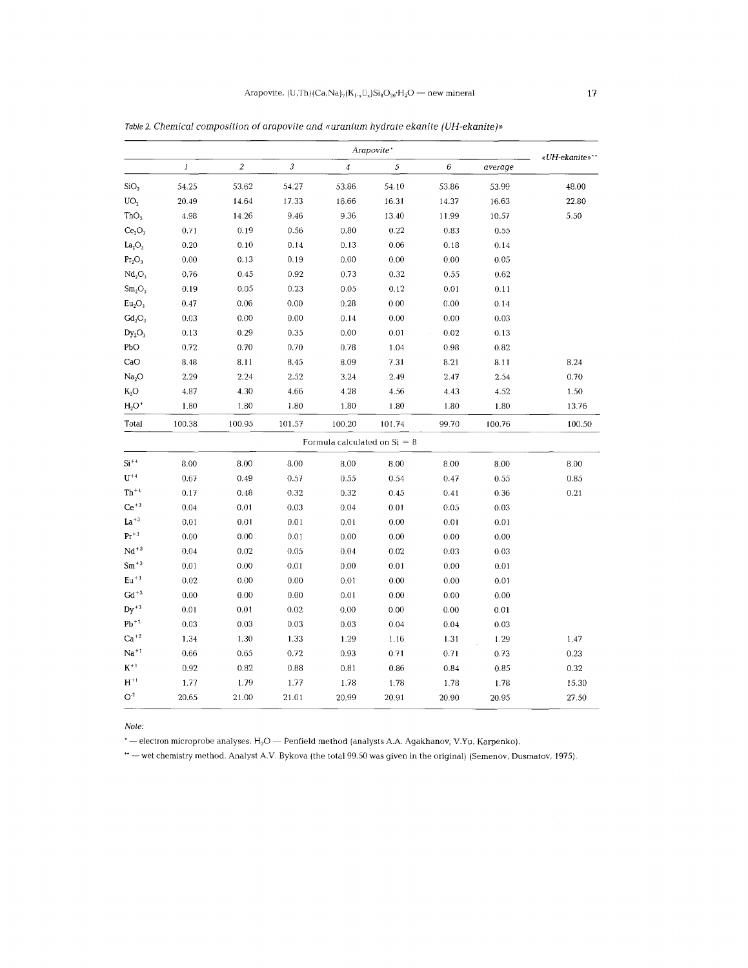|                  | Arapovite* |                         |                |        |                                |          |               |
|------------------|------------|-------------------------|----------------|--------|--------------------------------|----------|---------------|
| $\boldsymbol{l}$ | $\sqrt{2}$ | $\overline{\mathbf{3}}$ | $\overline{4}$ | 5      | 6                              | average  | «UH-ekanite»" |
| 54.25            | 53.62      | 54.27                   | 53.86          | 54.10  | 53.86                          | 53.99    | 48.00         |
| 20.49            | 14.64      | 17.33                   | 16.66          | 16.31  | 14.37                          | 16.63    | 22.80         |
| 4.98             | 14.26      | 9.46                    | 9.36           | 13.40  | 11.99                          | 10.57    | 5.50          |
| 0.71             | 0.19       | 0.56                    | 0.80           | 0.22   | 0.83                           | 0.55     |               |
| 0.20             | 0.10       | 0.14                    | 0.13           | 0.06   | 0.18                           | 0.14     |               |
| 0.00             | 0.13       | 0.19                    | 0.00           | 0.00   | 0.00                           | 0.05     |               |
| 0.76             | 0.45       | 0.92                    | 0.73           | 0.32   | 0.55                           | 0.62     |               |
| 0.19             | 0.05       | 0.23                    | 0.05           | 0.12   | 0.01                           | 0.11     |               |
| 0.47             | $0.06\,$   | 0.00                    | 0.28           | 0.00   | 0.00                           | 0.14     |               |
| 0.03             | 0.00       | $0.00\,$                | 0.14           | 0.00   | 0.00                           | 0.03     |               |
| 0.13             | 0.29       | 0.35                    | 0.00           | 0.01   | 0.02                           | 0.13     |               |
| 0.72             | 0.70       | 0.70                    | 0.78           | 1.04   | 0.98                           | 0.82     |               |
| 8.48             | 8.11       | 8.45                    | 8.09           | 7.31   | 8.21                           | 8.11     | 8.24          |
| 2.29             | 2.24       | 2.52                    | 3.24           | 2.49   | 2.47                           | 2.54     | 0.70          |
| 4.87             | 4.30       | 4.66                    | 4.28           | 4.56   | 4.43                           | 4.52     | 1.50          |
| 1.80             | 1.80       | 1.80                    | 1.80           | 1.80   | 1.80                           | 1.80     | 13.76         |
| 100.38           | 100.95     | 101.57                  | 100.20         | 101.74 | 99.70                          | 100.76   | 100.50        |
|                  |            |                         |                |        |                                |          |               |
| 8.00             | 8.00       | 8.00                    | 8.00           | 8.00   | 8.00                           | 8.00     | 8.00          |
| 0.67             | 0.49       | 0.57                    | 0.55           | 0.54   | 0.47                           | 0.55     | 0.85          |
| 0.17             | 0.48       | 0.32                    | 0.32           | 0.45   | 0.41                           | 0.36     | 0.21          |
| 0.04             | 0.01       | 0.03                    | 0.04           | 0.01   | 0.05                           | 0.03     |               |
| 0.01             | $0.01\,$   | $0.01\,$                | 0.01           | 0.00   | 0.01                           | $0.01\,$ |               |
| 0.00             | 0.00       | 0.01                    | 0.00           | 0.00   | 0.00                           | 0.00     |               |
| 0.04             | 0.02       | 0.05                    | 0.04           | 0.02   | 0.03                           | 0.03     |               |
| 0.01             | 0.00       | 0.01                    | $0.00\,$       | 0.01   | 0.00                           | 0.01     |               |
| 0.02             | 0.00       | 0.00                    | 0.01           | 0.00   | 0.00                           | 0.01     |               |
| 0.00             | 0.00       | 0.00                    | 0.01           | 0.00   | 0.00                           | 0.00     |               |
| $0.01\,$         | $\rm 0.01$ | 0.02                    | $0.00\,$       | 0.00   | 0.00                           | 0.01     |               |
| 0.03             | 0.03       | 0.03                    | 0.03           | 0.04   | 0.04                           | 0.03     |               |
| 1.34             | 1.30       | 1.33                    | 1.29           | 1.16   | 1.31                           | 1.29     | 1.47          |
| 0.66             | 0.65       | 0.72                    | 0.93           | 0.71   | 0.71                           | 0.73     | 0.23          |
| 0.92             | 0.82       | 0.88                    | 0.81           | 0.86   | 0.84                           | 0.85     | 0.32          |
| 1.77             | 1.79       | 1.77                    | 1.78           | 1.78   | 1.78                           | 1.78     | 15.30         |
|                  |            |                         |                |        | Formula calculated on $Si = 8$ |          |               |

Table 2. *Chemical composition* of *arapovite and «uranium hydrate ekanite (UH-ekanite)!!*

Note:

 $\cdot$  - electron microprobe analyses.  $H_2O$  - Penfield method (analysts A.A. Agakhanov, V.Yu. Karpenko).

...<br>In the original) (Semenov, Dusmatov, 1975). We went the total 99.50 was given in the original) (Semenov, Dusmatov, 1975).

 $\mathbb{O}^2$  20.65 21.00 21.01 20.99 20.91 20.90 20.95 27.5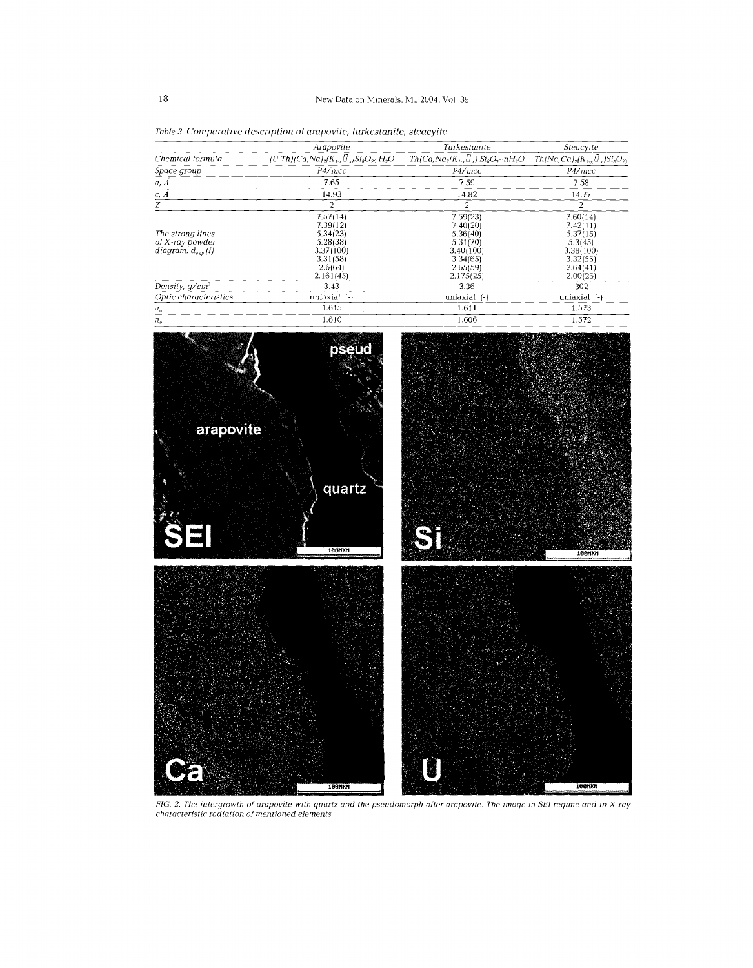|                                                                | Arapovite                                                                                     | Turkestanite                                                                                   | Steacyite                                                                                    |
|----------------------------------------------------------------|-----------------------------------------------------------------------------------------------|------------------------------------------------------------------------------------------------|----------------------------------------------------------------------------------------------|
| Chemical formula                                               | $(U, Th)/Ca, Na$ <sub>2</sub> $(K_{1-x}U_x)Si_8O_{20}H_2O$                                    | $Th(Ca, Na2(K1-x  x) Si8O20·nH2O$                                                              | $Th(Na,Ca)_{2}(K_{1-x}U_{x})Si_{8}O_{20}$                                                    |
| Space group                                                    | P4/mcc                                                                                        | P4/mcc                                                                                         | P4/mcc                                                                                       |
| a, A                                                           | 7.65                                                                                          | 7.59                                                                                           | 7.58                                                                                         |
| $C, \tilde{A}$                                                 | 14.93                                                                                         | 14.82                                                                                          | 14.77                                                                                        |
| Z                                                              | 2                                                                                             | 2                                                                                              | 2                                                                                            |
| The strong lines<br>$of X-ray$ powder<br>diagram: $d_{exn}(l)$ | 7.57(14)<br>7.39(12)<br>5.34(23)<br>5.28(38)<br>3.37(100)<br>3.31(58)<br>2.6(64)<br>2.161(45) | 7.59(23)<br>7.40(20)<br>5.36(40)<br>5.31(70)<br>3.40(100)<br>3.34(65)<br>2.65(59)<br>2.175(25) | 7.60(14)<br>7.42(11)<br>5.37(15)<br>5.3(45)<br>3.38(100)<br>3.32(55)<br>2.64(41)<br>2.00(26) |
| Density, $q/cm^3$                                              | 3.43                                                                                          | 3.36                                                                                           | 302                                                                                          |
| Optic characteristics                                          | uniaxial (-)                                                                                  | uniaxial (-)                                                                                   | uniaxial (-)                                                                                 |
| $n_{\alpha}$                                                   | 1.615                                                                                         | 1.611                                                                                          | 1.573                                                                                        |
|                                                                |                                                                                               |                                                                                                |                                                                                              |

*Table* 3. *Comparative description* of *arapovite, turkestanite, steacyite*



FIG. 2. The intergrowth of arapovite with quartz and the pseudomorph after arapovite. The image in SEI regime and in X-ra<sub>.</sub><br>characteristic radiation of mentioned elements